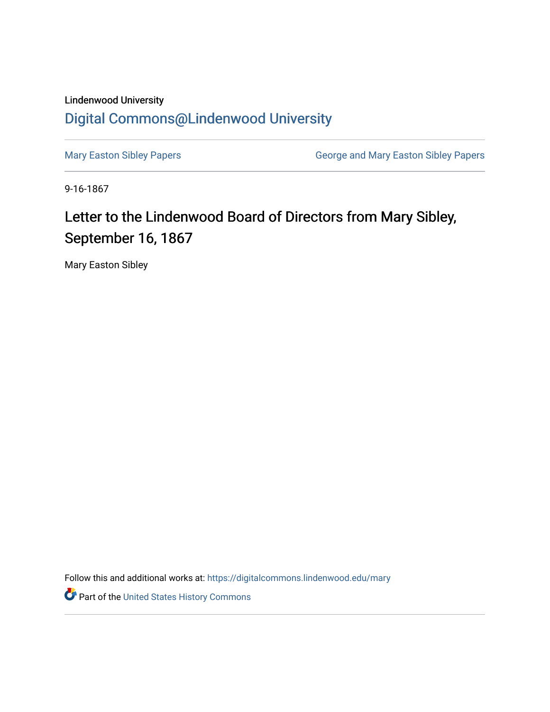## Lindenwood University [Digital Commons@Lindenwood University](https://digitalcommons.lindenwood.edu/)

[Mary Easton Sibley Papers](https://digitalcommons.lindenwood.edu/mary) **George and Mary Easton Sibley Papers** George and Mary Easton Sibley Papers

9-16-1867

## Letter to the Lindenwood Board of Directors from Mary Sibley, September 16, 1867

Mary Easton Sibley

Follow this and additional works at: [https://digitalcommons.lindenwood.edu/mary](https://digitalcommons.lindenwood.edu/mary?utm_source=digitalcommons.lindenwood.edu%2Fmary%2F24&utm_medium=PDF&utm_campaign=PDFCoverPages) 

Part of the [United States History Commons](https://network.bepress.com/hgg/discipline/495?utm_source=digitalcommons.lindenwood.edu%2Fmary%2F24&utm_medium=PDF&utm_campaign=PDFCoverPages)